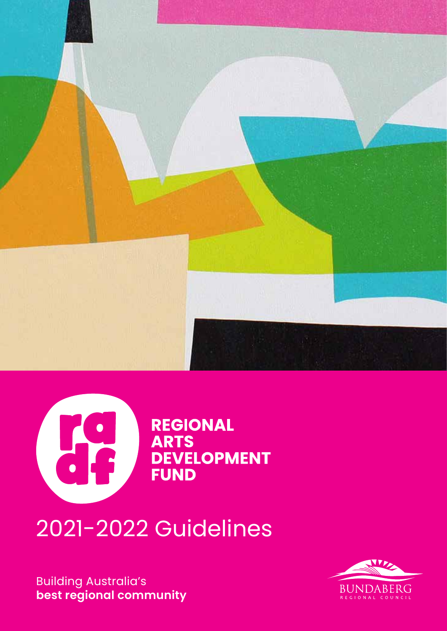



# 2021-2022 Guidelines

Building Australia's **best regional community**

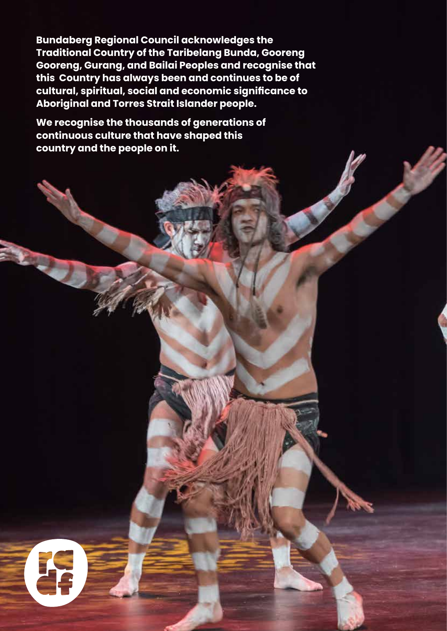**Bundaberg Regional Council acknowledges the Traditional Country of the Taribelang Bunda, Gooreng Gooreng, Gurang, and Bailai Peoples and recognise that this Country has always been and continues to be of cultural, spiritual, social and economic significance to Aboriginal and Torres Strait Islander people.** 

**We recognise the thousands of generations of continuous culture that have shaped this country and the people on it.**

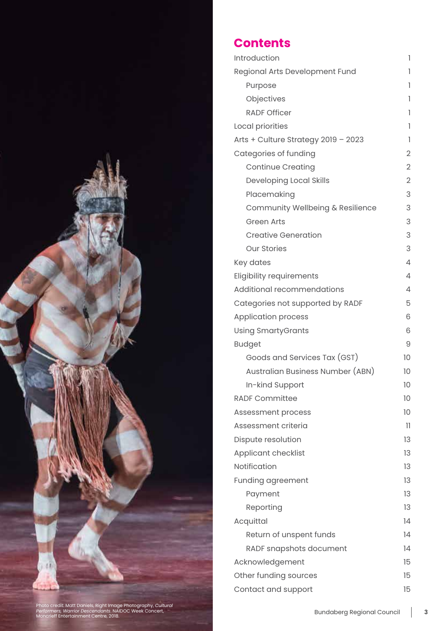

Photo credit: Matt Daniels, Right Image Photography, *Cultural Performers, Warrior Descendants*. NAIDOC Week Concert, Moncrieff Entertainment Centre, 2018.

### **Contents**

| Introduction                        | 1  |
|-------------------------------------|----|
| Regional Arts Development Fund      | 1  |
| Purpose                             | 1  |
| Objectives                          | 1  |
| <b>RADF Officer</b>                 | 1  |
| Local priorities                    | 1  |
| Arts + Culture Strategy 2019 - 2023 | 1  |
| Categories of funding               | 2  |
| <b>Continue Creating</b>            | 2  |
| Developing Local Skills             | 2  |
| Placemaking                         | 3  |
| Community Wellbeing & Resilience    | 3  |
| <b>Green Arts</b>                   | 3  |
| <b>Creative Generation</b>          | 3  |
| <b>Our Stories</b>                  | 3  |
| Key dates                           | 4  |
| <b>Eligibility requirements</b>     | 4  |
| Additional recommendations          | 4  |
| Categories not supported by RADF    | 5  |
| <b>Application process</b>          | 6  |
| <b>Using SmartyGrants</b>           | 6  |
| <b>Budget</b>                       | 9  |
| Goods and Services Tax (GST)        | 10 |
| Australian Business Number (ABN)    | 10 |
| In-kind Support                     | 10 |
| <b>RADF Committee</b>               | 10 |
| Assessment process                  | 10 |
| Assessment criteria                 | 11 |
| Dispute resolution                  | 13 |
| Applicant checklist                 | 13 |
| Notification                        | 13 |
| Funding agreement                   | 13 |
| Payment                             | 13 |
| Reporting                           | 13 |
| Acquittal                           | 14 |
| Return of unspent funds             | 14 |
| RADF snapshots document             | 14 |
| Acknowledgement                     | 15 |
| Other funding sources               | 15 |
| Contact and support                 | 15 |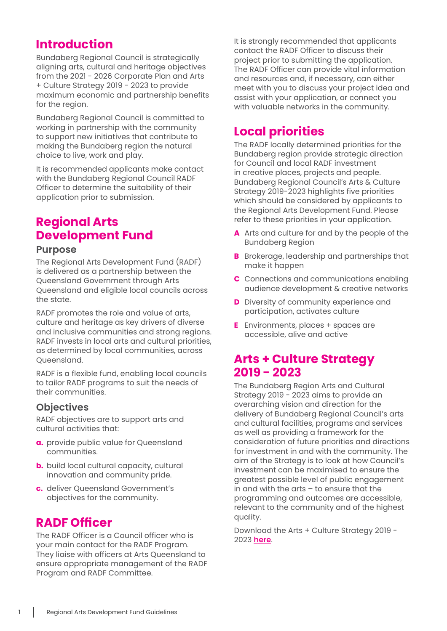### **Introduction**

Bundaberg Regional Council is strategically aligning arts, cultural and heritage objectives from the 2021 - 2026 Corporate Plan and Arts + Culture Strategy 2019 - 2023 to provide maximum economic and partnership benefits for the region.

Bundaberg Regional Council is committed to working in partnership with the community to support new initiatives that contribute to making the Bundaberg region the natural choice to live, work and play.

It is recommended applicants make contact with the Bundaberg Regional Council RADF Officer to determine the suitability of their application prior to submission.

### **Regional Arts Development Fund**

#### **Purpose**

The Regional Arts Development Fund (RADF) is delivered as a partnership between the Queensland Government through Arts Queensland and eligible local councils across the state.

RADF promotes the role and value of arts, culture and heritage as key drivers of diverse and inclusive communities and strong regions. RADF invests in local arts and cultural priorities, as determined by local communities, across Queensland.

RADF is a flexible fund, enabling local councils to tailor RADF programs to suit the needs of their communities.

#### **Objectives**

RADF objectives are to support arts and cultural activities that:

- **a.** provide public value for Queensland communities.
- **b.** build local cultural capacity, cultural innovation and community pride.
- **c.** deliver Queensland Government's objectives for the community.

### **RADF Officer**

The RADF Officer is a Council officer who is your main contact for the RADF Program. They liaise with officers at Arts Queensland to ensure appropriate management of the RADF Program and RADF Committee.

It is strongly recommended that applicants contact the RADF Officer to discuss their project prior to submitting the application. The RADF Officer can provide vital information and resources and, if necessary, can either meet with you to discuss your project idea and assist with your application, or connect you with valuable networks in the community.

### **Local priorities**

The RADF locally determined priorities for the Bundaberg region provide strategic direction for Council and local RADF investment in creative places, projects and people. Bundaberg Regional Council's Arts & Culture Strategy 2019-2023 highlights five priorities which should be considered by applicants to the Regional Arts Development Fund. Please refer to these priorities in your application.

- **A** Arts and culture for and by the people of the Bundaberg Region
- **B** Brokerage, leadership and partnerships that make it happen
- **C** Connections and communications enabling audience development & creative networks
- **D** Diversity of community experience and participation, activates culture
- **E** Environments, places + spaces are accessible, alive and active

### **Arts + Culture Strategy 2019 - 2023**

The Bundaberg Region Arts and Cultural Strategy 2019 - 2023 aims to provide an overarching vision and direction for the delivery of Bundaberg Regional Council's arts and cultural facilities, programs and services as well as providing a framework for the consideration of future priorities and directions for investment in and with the community. The aim of the Strategy is to look at how Council's investment can be maximised to ensure the greatest possible level of public engagement in and with the arts – to ensure that the programming and outcomes are accessible, relevant to the community and of the highest quality.

Download the Arts + Culture Strategy 2019 - 2023 **here**.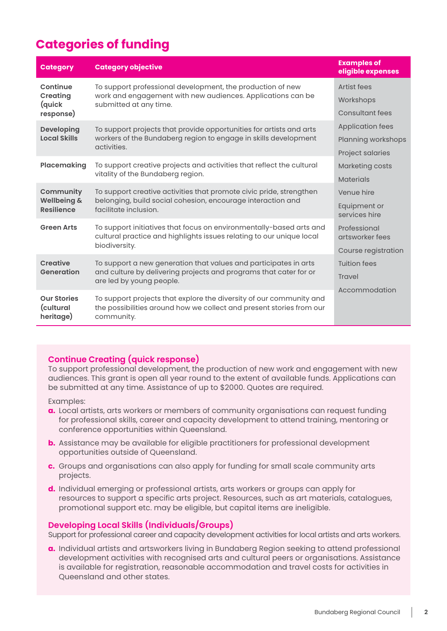# **Categories of funding**

| <b>Category</b>                                    | <b>Category objective</b>                                                                                                                                 | <b>Examples of</b><br>eligible expenses |  |
|----------------------------------------------------|-----------------------------------------------------------------------------------------------------------------------------------------------------------|-----------------------------------------|--|
| Continue<br><b>Creating</b><br>(quick<br>response) | To support professional development, the production of new<br>work and engagement with new audiences. Applications can be<br>submitted at any time.       | Artist fees                             |  |
|                                                    |                                                                                                                                                           | Workshops                               |  |
|                                                    |                                                                                                                                                           | <b>Consultant fees</b>                  |  |
| <b>Developing</b><br><b>Local Skills</b>           | To support projects that provide opportunities for artists and arts<br>workers of the Bundaberg region to engage in skills development<br>activities.     | <b>Application fees</b>                 |  |
|                                                    |                                                                                                                                                           | Planning workshops                      |  |
|                                                    |                                                                                                                                                           | Project salaries                        |  |
| Placemaking                                        | To support creative projects and activities that reflect the cultural<br>vitality of the Bundaberg region.                                                | Marketing costs                         |  |
|                                                    |                                                                                                                                                           | <b>Materials</b>                        |  |
| Community<br>Wellbeing &<br><b>Resilience</b>      | To support creative activities that promote civic pride, strengthen                                                                                       | Venue hire                              |  |
|                                                    | belonging, build social cohesion, encourage interaction and<br>facilitate inclusion.                                                                      | Equipment or<br>services hire           |  |
| <b>Green Arts</b>                                  | To support initiatives that focus on environmentally-based arts and<br>cultural practice and highlights issues relating to our unique local               | Professional<br>artsworker fees         |  |
|                                                    | biodiversity.                                                                                                                                             | Course registration                     |  |
| Creative<br>Generation                             | To support a new generation that values and participates in arts                                                                                          | <b>Tuition fees</b>                     |  |
|                                                    | and culture by delivering projects and programs that cater for or<br>are led by young people.                                                             | <b>Travel</b>                           |  |
| <b>Our Stories</b><br>(cultural<br>heritage)       | To support projects that explore the diversity of our community and<br>the possibilities around how we collect and present stories from our<br>community. | Accommodation                           |  |

#### **Continue Creating (quick response)**

To support professional development, the production of new work and engagement with new audiences. This grant is open all year round to the extent of available funds. Applications can be submitted at any time. Assistance of up to \$2000. Quotes are required.

Examples:

- **a.** Local artists, arts workers or members of community organisations can request funding for professional skills, career and capacity development to attend training, mentoring or conference opportunities within Queensland.
- **b.** Assistance may be available for eligible practitioners for professional development opportunities outside of Queensland.
- **c.** Groups and organisations can also apply for funding for small scale community arts projects.
- **d.** Individual emerging or professional artists, arts workers or groups can apply for resources to support a specific arts project. Resources, such as art materials, catalogues, promotional support etc. may be eligible, but capital items are ineligible.

#### **Developing Local Skills (Individuals/Groups)**

Support for professional career and capacity development activities for local artists and arts workers.

**a.** Individual artists and artsworkers living in Bundaberg Region seeking to attend professional development activities with recognised arts and cultural peers or organisations. Assistance is available for registration, reasonable accommodation and travel costs for activities in Queensland and other states.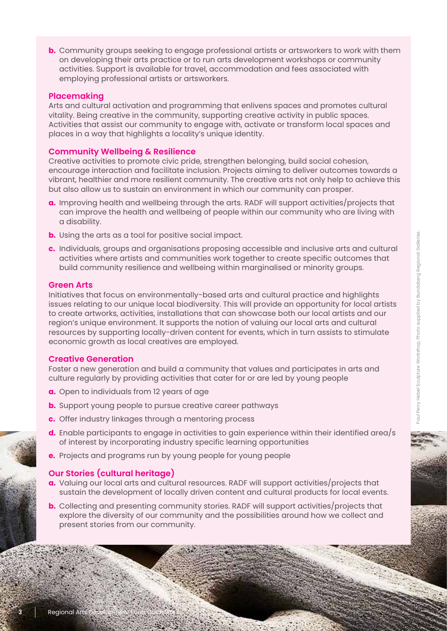**b.** Community groups seeking to engage professional artists or artsworkers to work with them on developing their arts practice or to run arts development workshops or community activities. Support is available for travel, accommodation and fees associated with employing professional artists or artsworkers.

#### **Placemaking**

Arts and cultural activation and programming that enlivens spaces and promotes cultural vitality. Being creative in the community, supporting creative activity in public spaces. Activities that assist our community to engage with, activate or transform local spaces and places in a way that highlights a locality's unique identity.

#### **Community Wellbeing & Resilience**

Creative activities to promote civic pride, strengthen belonging, build social cohesion, encourage interaction and facilitate inclusion. Projects aiming to deliver outcomes towards a vibrant, healthier and more resilient community. The creative arts not only help to achieve this but also allow us to sustain an environment in which our community can prosper.

- **a.** Improving health and wellbeing through the arts. RADF will support activities/projects that can improve the health and wellbeing of people within our community who are living with a disability.
- **b.** Using the arts as a tool for positive social impact.
- **c.** Individuals, groups and organisations proposing accessible and inclusive arts and cultural activities where artists and communities work together to create specific outcomes that build community resilience and wellbeing within marginalised or minority groups.

#### **Green Arts**

Initiatives that focus on environmentally-based arts and cultural practice and highlights issues relating to our unique local biodiversity. This will provide an opportunity for local artists to create artworks, activities, installations that can showcase both our local artists and our region's unique environment. It supports the notion of valuing our local arts and cultural resources by supporting locally-driven content for events, which in turn assists to stimulate economic growth as local creatives are employed.

#### **Creative Generation**

Foster a new generation and build a community that values and participates in arts and culture regularly by providing activities that cater for or are led by young people

- **a.** Open to individuals from 12 years of age
- **b.** Support young people to pursue creative career pathways
- **c.** Offer industry linkages through a mentoring process
- **d.** Enable participants to engage in activities to gain experience within their identified area/s of interest by incorporating industry specific learning opportunities
- **e.** Projects and programs run by young people for young people

#### **Our Stories (cultural heritage)**

- **a.** Valuing our local arts and cultural resources. RADF will support activities/projects that sustain the development of locally driven content and cultural products for local events.
- **b.** Collecting and presenting community stories. RADF will support activities/projects that explore the diversity of our community and the possibilities around how we collect and present stories from our community.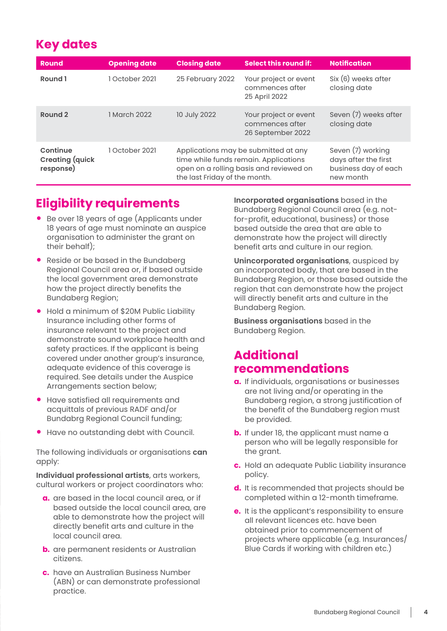## **Key dates**

| <b>Round</b>                                    | <b>Opening date</b> | <b>Closing date</b>                                                                                                                                       | <b>Select this round if:</b>                                  | <b>Notification</b>                                                            |
|-------------------------------------------------|---------------------|-----------------------------------------------------------------------------------------------------------------------------------------------------------|---------------------------------------------------------------|--------------------------------------------------------------------------------|
| Round 1                                         | 1 October 2021      | 25 February 2022                                                                                                                                          | Your project or event<br>commences after<br>25 April 2022     | Six (6) weeks after<br>closing date                                            |
| Round 2                                         | 1 March 2022        | 10 July 2022                                                                                                                                              | Your project or event<br>commences after<br>26 September 2022 | Seven (7) weeks after<br>closing date                                          |
| Continue<br><b>Creating (quick</b><br>response) | 1 October 2021      | Applications may be submitted at any<br>time while funds remain. Applications<br>open on a rolling basis and reviewed on<br>the last Friday of the month. |                                                               | Seven (7) working<br>days after the first<br>business day of each<br>new month |

# **Eligibility requirements**

- **•** Be over 18 years of age (Applicants under 18 years of age must nominate an auspice organisation to administer the grant on their behalf);
- **•** Reside or be based in the Bundaberg Regional Council area or, if based outside the local government area demonstrate how the project directly benefits the Bundaberg Region;
- **•** Hold a minimum of \$20M Public Liability Insurance including other forms of insurance relevant to the project and demonstrate sound workplace health and safety practices. If the applicant is being covered under another group's insurance, adequate evidence of this coverage is required. See details under the Auspice Arrangements section below;
- **•** Have satisfied all requirements and acquittals of previous RADF and/or Bundabrg Regional Council funding;
- **•** Have no outstanding debt with Council.

The following individuals or organisations **can** apply:

**Individual professional artists**, arts workers, cultural workers or project coordinators who:

- **a.** are based in the local council area, or if based outside the local council area, are able to demonstrate how the project will directly benefit arts and culture in the local council area.
- **b.** are permanent residents or Australian citizens.
- **c.** have an Australian Business Number (ABN) or can demonstrate professional practice.

**Incorporated organisations** based in the Bundaberg Regional Council area (e.g. notfor-profit, educational, business) or those based outside the area that are able to demonstrate how the project will directly benefit arts and culture in our region.

**Unincorporated organisations**, auspiced by an incorporated body, that are based in the Bundaberg Region, or those based outside the region that can demonstrate how the project will directly benefit arts and culture in the Bundaberg Region.

**Business organisations** based in the Bundaberg Region.

### **Additional recommendations**

- **a.** If individuals, organisations or businesses are not living and/or operating in the Bundaberg region, a strong justification of the benefit of the Bundaberg region must be provided.
- **b.** If under 18, the applicant must name a person who will be legally responsible for the grant.
- **c.** Hold an adequate Public Liability insurance policy.
- **d.** It is recommended that projects should be completed within a 12-month timeframe.
- **e.** It is the applicant's responsibility to ensure all relevant licences etc. have been obtained prior to commencement of projects where applicable (e.g. Insurances/ Blue Cards if working with children etc.)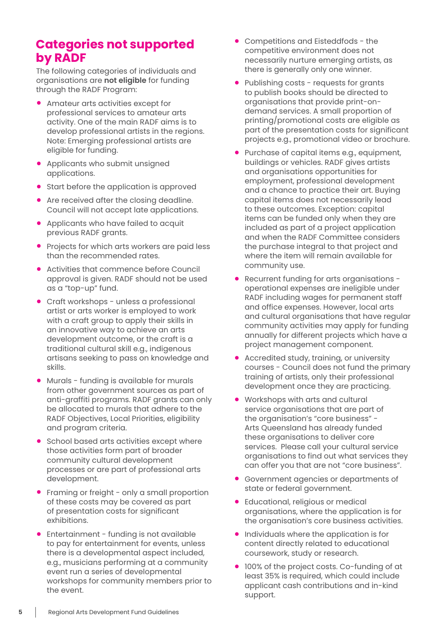### **Categories not supported by RADF**

The following categories of individuals and organisations are **not eligible** for funding through the RADF Program:

- **•** Amateur arts activities except for professional services to amateur arts activity. One of the main RADF aims is to develop professional artists in the regions. Note: Emerging professional artists are eligible for funding.
- **•** Applicants who submit unsigned applications.
- **•** Start before the application is approved
- **•** Are received after the closing deadline. Council will not accept late applications.
- **•** Applicants who have failed to acquit previous RADF grants.
- **•** Projects for which arts workers are paid less than the recommended rates.
- **•** Activities that commence before Council approval is given. RADF should not be used as a "top-up" fund.
- **•** Craft workshops unless a professional artist or arts worker is employed to work with a craft group to apply their skills in an innovative way to achieve an arts development outcome, or the craft is a traditional cultural skill e.g., indigenous artisans seeking to pass on knowledge and skills.
- **•** Murals funding is available for murals from other government sources as part of anti-graffiti programs. RADF grants can only be allocated to murals that adhere to the RADF Objectives, Local Priorities, eligibility and program criteria.
- **•** School based arts activities except where those activities form part of broader community cultural development processes or are part of professional arts development.
- **•** Framing or freight only a small proportion of these costs may be covered as part of presentation costs for significant exhibitions.
- **•** Entertainment funding is not available to pay for entertainment for events, unless there is a developmental aspect included, e.g., musicians performing at a community event run a series of developmental workshops for community members prior to the event.
- **•** Competitions and Eisteddfods the competitive environment does not necessarily nurture emerging artists, as there is generally only one winner.
- **•** Publishing costs requests for grants to publish books should be directed to organisations that provide print-ondemand services. A small proportion of printing/promotional costs are eligible as part of the presentation costs for significant projects e.g., promotional video or brochure.
- **•** Purchase of capital items e.g., equipment, buildings or vehicles. RADF gives artists and organisations opportunities for employment, professional development and a chance to practice their art. Buying capital items does not necessarily lead to these outcomes. Exception: capital items can be funded only when they are included as part of a project application and when the RADF Committee considers the purchase integral to that project and where the item will remain available for community use.
- **•** Recurrent funding for arts organisations operational expenses are ineligible under RADF including wages for permanent staff and office expenses. However, local arts and cultural organisations that have regular community activities may apply for funding annually for different projects which have a project management component.
- **•** Accredited study, training, or university courses - Council does not fund the primary training of artists, only their professional development once they are practicing.
- **•** Workshops with arts and cultural service organisations that are part of the organisation's "core business" - Arts Queensland has already funded these organisations to deliver core services. Please call your cultural service organisations to find out what services they can offer you that are not "core business".
- **•** Government agencies or departments of state or federal government.
- **•** Educational, religious or medical organisations, where the application is for the organisation's core business activities.
- **•** Individuals where the application is for content directly related to educational coursework, study or research.
- **•** 100% of the project costs. Co-funding of at least 35% is required, which could include applicant cash contributions and in-kind support.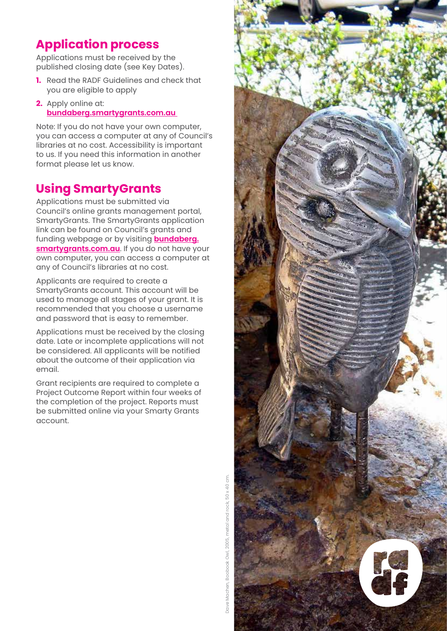### **Application process**

Applications must be received by the published closing date (see Key Dates).

- **1.** Read the RADF Guidelines and check that you are eligible to apply
- **2.** Apply online at: **bundaberg.smartygrants.com.au**

Note: If you do not have your own computer, you can access a computer at any of Council's libraries at no cost. Accessibility is important to us. If you need this information in another format please let us know.

## **Using SmartyGrants**

Applications must be submitted via Council's online grants management portal, SmartyGrants. The SmartyGrants application link can be found on Council's grants and funding webpage or by visiting **bundaberg. smartygrants.com.au**. If you do not have your own computer, you can access a computer at any of Council's libraries at no cost.

Applicants are required to create a SmartyGrants account. This account will be used to manage all stages of your grant. It is recommended that you choose a username and password that is easy to remember.

Applications must be received by the closing date. Late or incomplete applications will not be considered. All applicants will be notified about the outcome of their application via email.

Grant recipients are required to complete a Project Outcome Report within four weeks of the completion of the project. Reports must be submitted online via your Smarty Grants account.

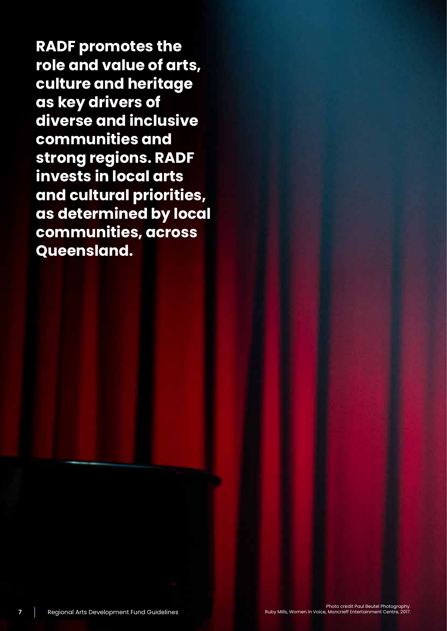**RADF promotes the role and value of arts, culture and heritage as key drivers of diverse and inclusive communities and strong regions. RADF invests in local arts and cultural priorities, as determined by local communities, across Queensland.**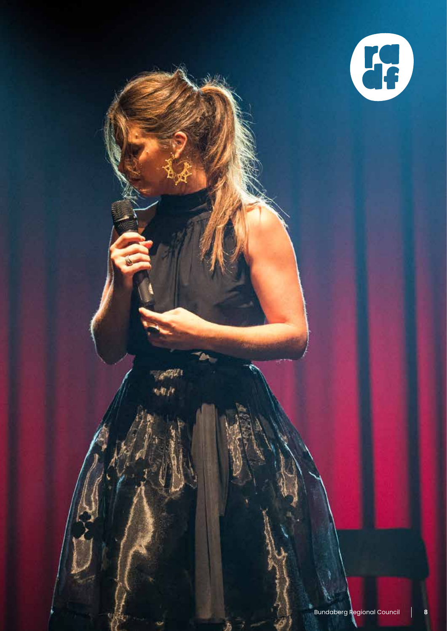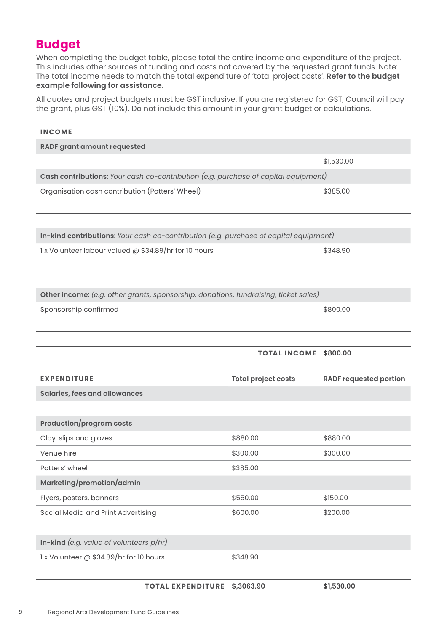### **Budget**

When completing the budget table, please total the entire income and expenditure of the project. This includes other sources of funding and costs not covered by the requested grant funds. Note: The total income needs to match the total expenditure of 'total project costs'. **Refer to the budget example following for assistance.**

All quotes and project budgets must be GST inclusive. If you are registered for GST, Council will pay the grant, plus GST (10%). Do not include this amount in your grant budget or calculations.

#### **INCOME**

# **RADF grant amount requested** \$1,530.00 **Cash contributions:** *Your cash co-contribution (e.g. purchase of capital equipment)* Organisation cash contribution (Potters' Wheel) \$385.00 **In-kind contributions:** *Your cash co-contribution (e.g. purchase of capital equipment)* 1 x Volunteer labour valued  $\omega$  \$34.89/hr for 10 hours  $\sim$  \$348.90 **Other income:** *(e.g. other grants, sponsorship, donations, fundraising, ticket sales)* Sponsorship confirmed  $\sim$  5800.00

#### **TOTAL INCOME \$800.00**

| <b>EXPENDITURE</b>                         | <b>Total project costs</b> | <b>RADF requested portion</b> |
|--------------------------------------------|----------------------------|-------------------------------|
| <b>Salaries, fees and allowances</b>       |                            |                               |
|                                            |                            |                               |
| <b>Production/program costs</b>            |                            |                               |
| Clay, slips and glazes                     | \$880.00                   | \$880.00                      |
| Venue hire                                 | \$300.00                   | \$300.00                      |
| Potters' wheel                             | \$385.00                   |                               |
| Marketing/promotion/admin                  |                            |                               |
| Flyers, posters, banners                   | \$550.00                   | \$150.00                      |
| Social Media and Print Advertising         | \$600.00                   | \$200.00                      |
|                                            |                            |                               |
| In-kind (e.g. value of volunteers $p/hr$ ) |                            |                               |
| 1x Volunteer @ \$34.89/hr for 10 hours     | \$348.90                   |                               |
|                                            |                            |                               |
| <b>TOTAL EXPENDITURE</b>                   | \$,3063.90                 | \$1,530.00                    |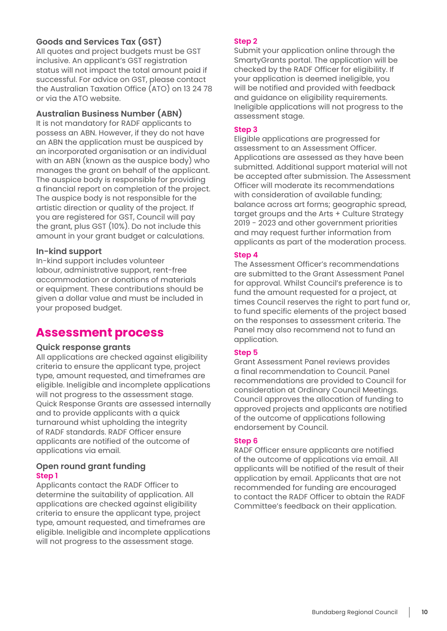#### **Goods and Services Tax (GST)**

All quotes and project budgets must be GST inclusive. An applicant's GST registration status will not impact the total amount paid if successful. For advice on GST, please contact the Australian Taxation Office (ATO) on 13 24 78 or via the ATO website.

#### **Australian Business Number (ABN)**

It is not mandatory for RADF applicants to possess an ABN. However, if they do not have an ABN the application must be auspiced by an incorporated organisation or an individual with an ABN (known as the auspice body) who manages the grant on behalf of the applicant. The auspice body is responsible for providing a financial report on completion of the project. The auspice body is not responsible for the artistic direction or quality of the project. If you are registered for GST, Council will pay the grant, plus GST (10%). Do not include this amount in your grant budget or calculations.

#### **In-kind support**

In-kind support includes volunteer labour, administrative support, rent-free accommodation or donations of materials or equipment. These contributions should be given a dollar value and must be included in your proposed budget.

### **Assessment process**

#### **Quick response grants**

All applications are checked against eligibility criteria to ensure the applicant type, project type, amount requested, and timeframes are eligible. Ineligible and incomplete applications will not progress to the assessment stage. Quick Response Grants are assessed internally and to provide applicants with a quick turnaround whist upholding the integrity of RADF standards. RADF Officer ensure applicants are notified of the outcome of applications via email.

#### **Open round grant funding Step 1**

Applicants contact the RADF Officer to determine the suitability of application. All applications are checked against eligibility criteria to ensure the applicant type, project type, amount requested, and timeframes are eligible. Ineligible and incomplete applications will not progress to the assessment stage.

#### **Step 2**

Submit your application online through the SmartyGrants portal. The application will be checked by the RADF Officer for eligibility. If your application is deemed ineligible, you will be notified and provided with feedback and guidance on eligibility requirements. Ineligible applications will not progress to the assessment stage.

#### **Step 3**

Eligible applications are progressed for assessment to an Assessment Officer. Applications are assessed as they have been submitted. Additional support material will not be accepted after submission. The Assessment Officer will moderate its recommendations with consideration of available funding; balance across art forms; geographic spread, target groups and the Arts + Culture Strategy 2019 - 2023 and other government priorities and may request further information from applicants as part of the moderation process.

#### **Step 4**

The Assessment Officer's recommendations are submitted to the Grant Assessment Panel for approval. Whilst Council's preference is to fund the amount requested for a project, at times Council reserves the right to part fund or, to fund specific elements of the project based on the responses to assessment criteria. The Panel may also recommend not to fund an application.

#### **Step 5**

Grant Assessment Panel reviews provides a final recommendation to Council. Panel recommendations are provided to Council for consideration at Ordinary Council Meetings. Council approves the allocation of funding to approved projects and applicants are notified of the outcome of applications following endorsement by Council.

#### **Step 6**

RADF Officer ensure applicants are notified of the outcome of applications via email. All applicants will be notified of the result of their application by email. Applicants that are not recommended for funding are encouraged to contact the RADF Officer to obtain the RADF Committee's feedback on their application.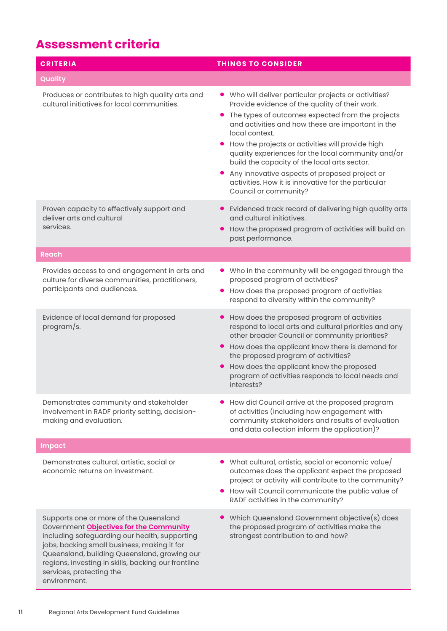# **Assessment criteria**

| <b>CRITERIA</b>                                                                                                                                                                                                                                                                                                                      | <b>THINGS TO CONSIDER</b>                                                                                                                                                                                                                                                                                                                                                                                                                                                                                                                      |
|--------------------------------------------------------------------------------------------------------------------------------------------------------------------------------------------------------------------------------------------------------------------------------------------------------------------------------------|------------------------------------------------------------------------------------------------------------------------------------------------------------------------------------------------------------------------------------------------------------------------------------------------------------------------------------------------------------------------------------------------------------------------------------------------------------------------------------------------------------------------------------------------|
| Quality                                                                                                                                                                                                                                                                                                                              |                                                                                                                                                                                                                                                                                                                                                                                                                                                                                                                                                |
| Produces or contributes to high quality arts and<br>cultural initiatives for local communities.                                                                                                                                                                                                                                      | • Who will deliver particular projects or activities?<br>Provide evidence of the quality of their work.<br>• The types of outcomes expected from the projects<br>and activities and how these are important in the<br>local context.<br>• How the projects or activities will provide high<br>quality experiences for the local community and/or<br>build the capacity of the local arts sector.<br>Any innovative aspects of proposed project or<br>$\bullet$<br>activities. How it is innovative for the particular<br>Council or community? |
| Proven capacity to effectively support and<br>deliver arts and cultural<br>services.                                                                                                                                                                                                                                                 | Evidenced track record of delivering high quality arts<br>and cultural initiatives.<br>• How the proposed program of activities will build on<br>past performance.                                                                                                                                                                                                                                                                                                                                                                             |
| <b>Reach</b>                                                                                                                                                                                                                                                                                                                         |                                                                                                                                                                                                                                                                                                                                                                                                                                                                                                                                                |
| Provides access to and engagement in arts and<br>culture for diverse communities, practitioners,<br>participants and audiences.                                                                                                                                                                                                      | • Who in the community will be engaged through the<br>proposed program of activities?<br>How does the proposed program of activities<br>$\bullet$<br>respond to diversity within the community?                                                                                                                                                                                                                                                                                                                                                |
| Evidence of local demand for proposed<br>program/s.                                                                                                                                                                                                                                                                                  | • How does the proposed program of activities<br>respond to local arts and cultural priorities and any<br>other broader Council or community priorities?<br>• How does the applicant know there is demand for<br>the proposed program of activities?<br>• How does the applicant know the proposed<br>program of activities responds to local needs and<br>interests?                                                                                                                                                                          |
| Demonstrates community and stakeholder<br>involvement in RADF priority setting, decision-<br>making and evaluation.                                                                                                                                                                                                                  | How did Council arrive at the proposed program<br>of activities (including how engagement with<br>community stakeholders and results of evaluation<br>and data collection inform the application)?                                                                                                                                                                                                                                                                                                                                             |
| <b>Impact</b>                                                                                                                                                                                                                                                                                                                        |                                                                                                                                                                                                                                                                                                                                                                                                                                                                                                                                                |
| Demonstrates cultural, artistic, social or<br>economic returns on investment.                                                                                                                                                                                                                                                        | • What cultural, artistic, social or economic value/<br>outcomes does the applicant expect the proposed<br>project or activity will contribute to the community?<br>How will Council communicate the public value of<br>RADF activities in the community?                                                                                                                                                                                                                                                                                      |
| Supports one or more of the Queensland<br>Government Objectives for the Community<br>including safeguarding our health, supporting<br>jobs, backing small business, making it for<br>Queensland, building Queensland, growing our<br>regions, investing in skills, backing our frontline<br>services, protecting the<br>environment. | • Which Queensland Government objective(s) does<br>the proposed program of activities make the<br>strongest contribution to and how?                                                                                                                                                                                                                                                                                                                                                                                                           |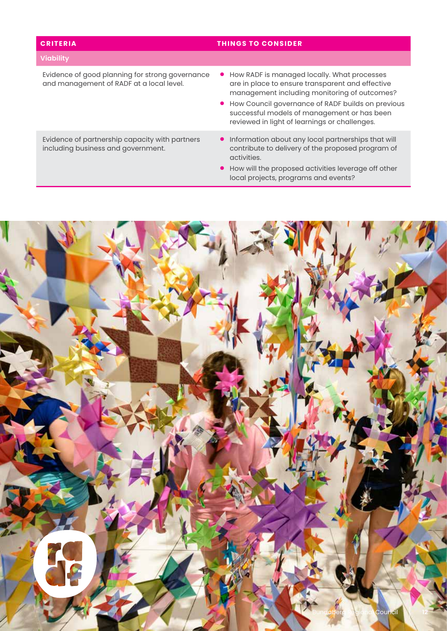#### **CRITERIA THINGS TO CONSIDER**

#### **Viability**

#### Evidence of good planning for strong governance and management of RADF at a local level.

- **•** How RADF is managed locally. What processes are in place to ensure transparent and effective management including monitoring of outcomes?
- **•** How Council governance of RADF builds on previous successful models of management or has been reviewed in light of learnings or challenges.

Evidence of partnership capacity with partners including business and government.

- **•** Information about any local partnerships that will contribute to delivery of the proposed program of activities.
- **•** How will the proposed activities leverage off other local projects, programs and events?

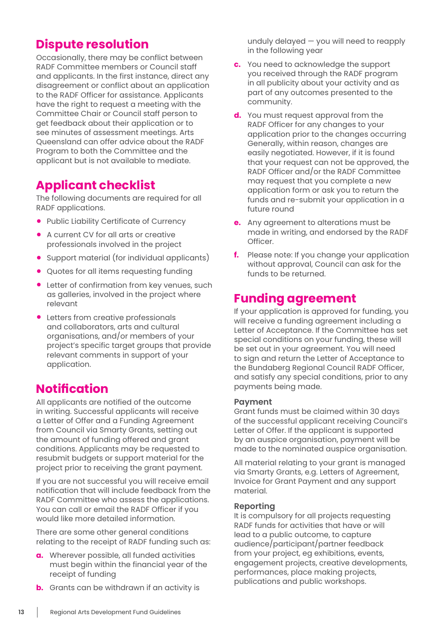### **Dispute resolution**

Occasionally, there may be conflict between RADF Committee members or Council staff and applicants. In the first instance, direct any disagreement or conflict about an application to the RADF Officer for assistance. Applicants have the right to request a meeting with the Committee Chair or Council staff person to get feedback about their application or to see minutes of assessment meetings. Arts Queensland can offer advice about the RADF Program to both the Committee and the applicant but is not available to mediate.

### **Applicant checklist**

The following documents are required for all RADF applications.

- **•** Public Liability Certificate of Currency
- **•** A current CV for all arts or creative professionals involved in the project
- **•** Support material (for individual applicants)
- **•** Quotes for all items requesting funding
- **•** Letter of confirmation from key venues, such as galleries, involved in the project where relevant
- **•** Letters from creative professionals and collaborators, arts and cultural organisations, and/or members of your project's specific target groups that provide relevant comments in support of your application.

### **Notification**

All applicants are notified of the outcome in writing. Successful applicants will receive a Letter of Offer and a Funding Agreement from Council via Smarty Grants, setting out the amount of funding offered and grant conditions. Applicants may be requested to resubmit budgets or support material for the project prior to receiving the grant payment.

If you are not successful you will receive email notification that will include feedback from the RADF Committee who assess the applications. You can call or email the RADF Officer if you would like more detailed information.

There are some other general conditions relating to the receipt of RADF funding such as:

- **a.** Wherever possible, all funded activities must begin within the financial year of the receipt of funding
- **b.** Grants can be withdrawn if an activity is

unduly delayed — you will need to reapply in the following year

- **c.** You need to acknowledge the support you received through the RADF program in all publicity about your activity and as part of any outcomes presented to the community.
- **d.** You must request approval from the RADF Officer for any changes to your application prior to the changes occurring Generally, within reason, changes are easily negotiated. However, if it is found that your request can not be approved, the RADF Officer and/or the RADF Committee may request that you complete a new application form or ask you to return the funds and re-submit your application in a future round
- **e.** Any agreement to alterations must be made in writing, and endorsed by the RADF Officer.
- **f.** Please note: If you change your application without approval, Council can ask for the funds to be returned.

### **Funding agreement**

If your application is approved for funding, you will receive a funding agreement including a Letter of Acceptance. If the Committee has set special conditions on your funding, these will be set out in your agreement. You will need to sign and return the Letter of Acceptance to the Bundaberg Regional Council RADF Officer, and satisfy any special conditions, prior to any payments being made.

#### **Payment**

Grant funds must be claimed within 30 days of the successful applicant receiving Council's Letter of Offer. If the applicant is supported by an auspice organisation, payment will be made to the nominated auspice organisation.

All material relating to your grant is managed via Smarty Grants, e.g. Letters of Agreement, Invoice for Grant Payment and any support material.

#### **Reporting**

It is compulsory for all projects requesting RADF funds for activities that have or will lead to a public outcome, to capture audience/participant/partner feedback from your project, eg exhibitions, events, engagement projects, creative developments, performances, place making projects, publications and public workshops.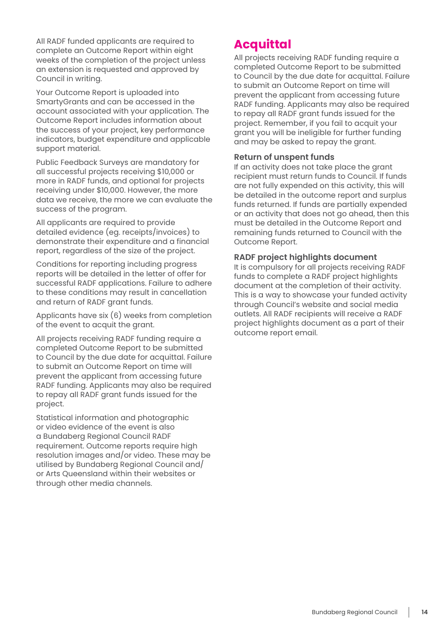All RADF funded applicants are required to complete an Outcome Report within eight weeks of the completion of the project unless an extension is requested and approved by Council in writing.

Your Outcome Report is uploaded into SmartyGrants and can be accessed in the account associated with your application. The Outcome Report includes information about the success of your project, key performance indicators, budget expenditure and applicable support material.

Public Feedback Surveys are mandatory for all successful projects receiving \$10,000 or more in RADF funds, and optional for projects receiving under \$10,000. However, the more data we receive, the more we can evaluate the success of the program.

All applicants are required to provide detailed evidence (eg. receipts/invoices) to demonstrate their expenditure and a financial report, regardless of the size of the project.

Conditions for reporting including progress reports will be detailed in the letter of offer for successful RADF applications. Failure to adhere to these conditions may result in cancellation and return of RADF grant funds.

Applicants have six (6) weeks from completion of the event to acquit the grant.

All projects receiving RADF funding require a completed Outcome Report to be submitted to Council by the due date for acquittal. Failure to submit an Outcome Report on time will prevent the applicant from accessing future RADF funding. Applicants may also be required to repay all RADF grant funds issued for the project.

Statistical information and photographic or video evidence of the event is also a Bundaberg Regional Council RADF requirement. Outcome reports require high resolution images and/or video. These may be utilised by Bundaberg Regional Council and/ or Arts Queensland within their websites or through other media channels.

### **Acquittal**

All projects receiving RADF funding require a completed Outcome Report to be submitted to Council by the due date for acquittal. Failure to submit an Outcome Report on time will prevent the applicant from accessing future RADF funding. Applicants may also be required to repay all RADF grant funds issued for the project. Remember, if you fail to acquit your grant you will be ineligible for further funding and may be asked to repay the grant.

#### **Return of unspent funds**

If an activity does not take place the grant recipient must return funds to Council. If funds are not fully expended on this activity, this will be detailed in the outcome report and surplus funds returned. If funds are partially expended or an activity that does not go ahead, then this must be detailed in the Outcome Report and remaining funds returned to Council with the Outcome Report.

#### **RADF project highlights document**

It is compulsory for all projects receiving RADF funds to complete a RADF project highlights document at the completion of their activity. This is a way to showcase your funded activity through Council's website and social media outlets. All RADF recipients will receive a RADF project highlights document as a part of their outcome report email.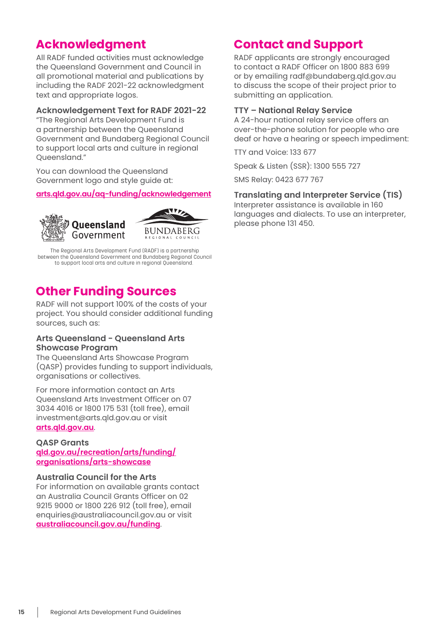### **Acknowledgment**

All RADF funded activities must acknowledge the Queensland Government and Council in all promotional material and publications by including the RADF 2021-22 acknowledgment text and appropriate logos.

#### **Acknowledgement Text for RADF 2021-22**

"The Regional Arts Development Fund is a partnership between the Queensland Government and Bundaberg Regional Council to support local arts and culture in regional Queensland."

You can download the Queensland Government logo and style guide at:

#### **arts.qld.gov.au/aq-funding/acknowledgement**





 The Regional Arts Development Fund (RADF) is a partnership between the Queensland Government and Bundaberg Regional Council to support local arts and culture in regional Queensland.

### **Other Funding Sources**

RADF will not support 100% of the costs of your project. You should consider additional funding sources, such as:

#### **Arts Queensland - Queensland Arts Showcase Program**

The Queensland Arts Showcase Program (QASP) provides funding to support individuals, organisations or collectives.

For more information contact an Arts Queensland Arts Investment Officer on 07 3034 4016 or 1800 175 531 (toll free), email investment@arts.qld.gov.au or visit **arts.qld.gov.au**.

#### **QASP Grants**

**qld.gov.au/recreation/arts/funding/ organisations/arts-showcase**

#### **Australia Council for the Arts**

For information on available grants contact an Australia Council Grants Officer on 02 9215 9000 or 1800 226 912 (toll free), email enquiries@australiacouncil.gov.au or visit **australiacouncil.gov.au/funding**.

### **Contact and Support**

RADF applicants are strongly encouraged to contact a RADF Officer on 1800 883 699 or by emailing radf@bundaberg.qld.gov.au to discuss the scope of their project prior to submitting an application.

#### **TTY – National Relay Service**

A 24-hour national relay service offers an over-the-phone solution for people who are deaf or have a hearing or speech impediment:

TTY and Voice: 133 677

Speak & Listen (SSR): 1300 555 727

SMS Relay: 0423 677 767

#### **Translating and Interpreter Service (TIS)**

Interpreter assistance is available in 160 languages and dialects. To use an interpreter, please phone 131 450.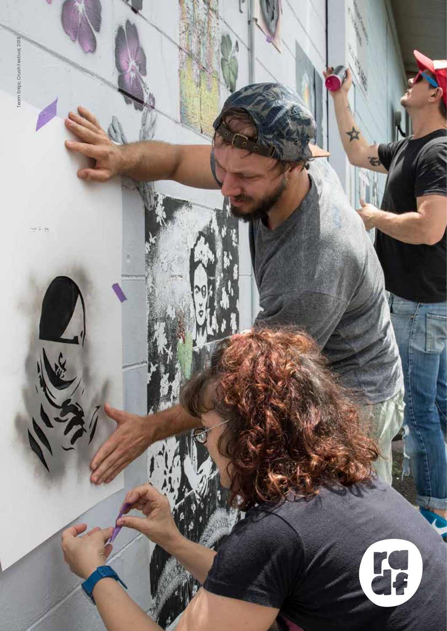